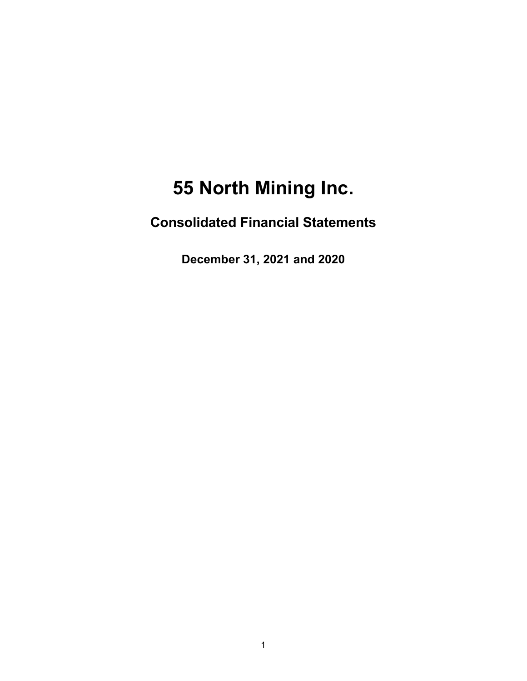# **55 North Mining Inc.**

# **Consolidated Financial Statements**

**December 31, 2021 and 2020**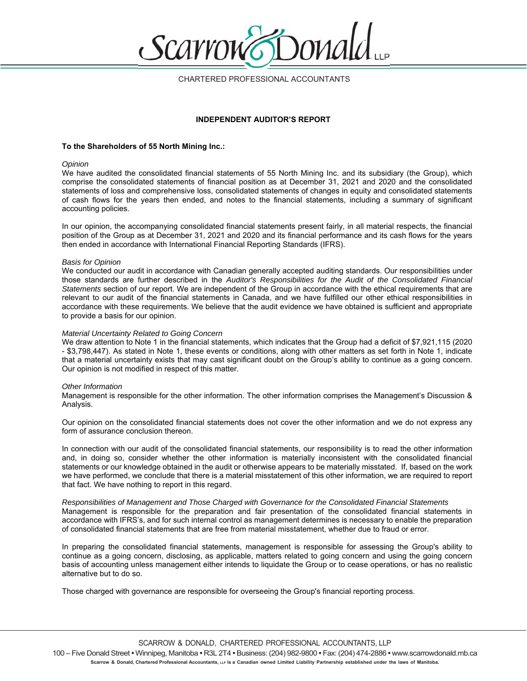

CHARTERED PROFESSIONAL ACCOUNTANTS

#### **INDEPENDENT AUDITOR'S REPORT**

#### **To the Shareholders of 55 North Mining Inc.:**

#### *Opinion*

We have audited the consolidated financial statements of 55 North Mining Inc. and its subsidiary (the Group), which comprise the consolidated statements of financial position as at December 31, 2021 and 2020 and the consolidated statements of loss and comprehensive loss, consolidated statements of changes in equity and consolidated statements of cash flows for the years then ended, and notes to the financial statements, including a summary of significant accounting policies.

In our opinion, the accompanying consolidated financial statements present fairly, in all material respects, the financial position of the Group as at December 31, 2021 and 2020 and its financial performance and its cash flows for the years then ended in accordance with International Financial Reporting Standards (IFRS).

#### *Basis for Opinion*

We conducted our audit in accordance with Canadian generally accepted auditing standards. Our responsibilities under those standards are further described in the *Auditor's Responsibilities for the Audit of the Consolidated Financial Statements* section of our report. We are independent of the Group in accordance with the ethical requirements that are relevant to our audit of the financial statements in Canada, and we have fulfilled our other ethical responsibilities in accordance with these requirements. We believe that the audit evidence we have obtained is sufficient and appropriate to provide a basis for our opinion.

#### *Material Uncertainty Related to Going Concern*

We draw attention to Note 1 in the financial statements, which indicates that the Group had a deficit of \$7,921,115 (2020 - \$3,798,447). As stated in Note 1, these events or conditions, along with other matters as set forth in Note 1, indicate that a material uncertainty exists that may cast significant doubt on the Group's ability to continue as a going concern. Our opinion is not modified in respect of this matter.

#### *Other Information*

Management is responsible for the other information. The other information comprises the Management's Discussion & Analysis.

Our opinion on the consolidated financial statements does not cover the other information and we do not express any form of assurance conclusion thereon.

In connection with our audit of the consolidated financial statements, our responsibility is to read the other information and, in doing so, consider whether the other information is materially inconsistent with the consolidated financial statements or our knowledge obtained in the audit or otherwise appears to be materially misstated. If, based on the work we have performed, we conclude that there is a material misstatement of this other information, we are required to report that fact. We have nothing to report in this regard.

*Responsibilities of Management and Those Charged with Governance for the Consolidated Financial Statements*  Management is responsible for the preparation and fair presentation of the consolidated financial statements in accordance with IFRS's, and for such internal control as management determines is necessary to enable the preparation of consolidated financial statements that are free from material misstatement, whether due to fraud or error.

In preparing the consolidated financial statements, management is responsible for assessing the Group's ability to continue as a going concern, disclosing, as applicable, matters related to going concern and using the going concern basis of accounting unless management either intends to liquidate the Group or to cease operations, or has no realistic alternative but to do so.

Those charged with governance are responsible for overseeing the Group's financial reporting process.

SCARROW & DONALD, CHARTERED PROFESSIONAL ACCOUNTANTS, LLP

100 – Five Donald Street **•** Winnipeg, Manitoba **•** R3L 2T4 **•** Business: (204) 982-9800 **•** Fax: (204) 474-2886 **•** www.scarrowdonald.mb.ca Scarrow & Donald, Chartered Professional Accountants, LLP is a Canadian owned Limited Liability Partnership established under the laws of Manitoba.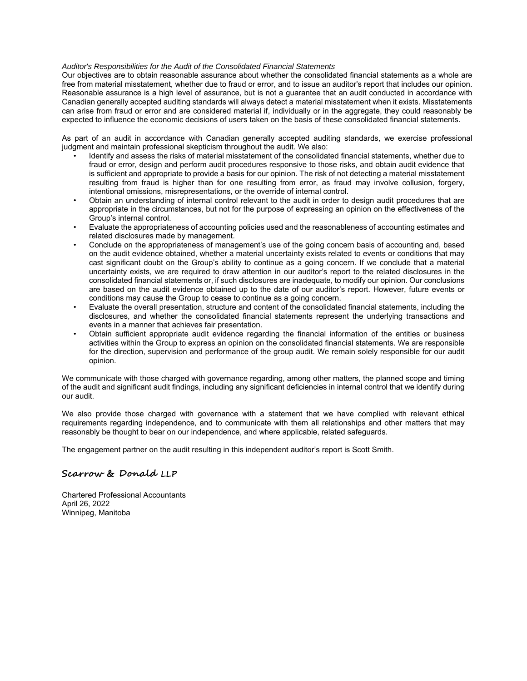#### *Auditor's Responsibilities for the Audit of the Consolidated Financial Statements*

Our objectives are to obtain reasonable assurance about whether the consolidated financial statements as a whole are free from material misstatement, whether due to fraud or error, and to issue an auditor's report that includes our opinion. Reasonable assurance is a high level of assurance, but is not a guarantee that an audit conducted in accordance with Canadian generally accepted auditing standards will always detect a material misstatement when it exists. Misstatements can arise from fraud or error and are considered material if, individually or in the aggregate, they could reasonably be expected to influence the economic decisions of users taken on the basis of these consolidated financial statements.

As part of an audit in accordance with Canadian generally accepted auditing standards, we exercise professional judgment and maintain professional skepticism throughout the audit. We also:

- Identify and assess the risks of material misstatement of the consolidated financial statements, whether due to fraud or error, design and perform audit procedures responsive to those risks, and obtain audit evidence that is sufficient and appropriate to provide a basis for our opinion. The risk of not detecting a material misstatement resulting from fraud is higher than for one resulting from error, as fraud may involve collusion, forgery, intentional omissions, misrepresentations, or the override of internal control.
- Obtain an understanding of internal control relevant to the audit in order to design audit procedures that are appropriate in the circumstances, but not for the purpose of expressing an opinion on the effectiveness of the Group's internal control.
- Evaluate the appropriateness of accounting policies used and the reasonableness of accounting estimates and related disclosures made by management.
- Conclude on the appropriateness of management's use of the going concern basis of accounting and, based on the audit evidence obtained, whether a material uncertainty exists related to events or conditions that may cast significant doubt on the Group's ability to continue as a going concern. If we conclude that a material uncertainty exists, we are required to draw attention in our auditor's report to the related disclosures in the consolidated financial statements or, if such disclosures are inadequate, to modify our opinion. Our conclusions are based on the audit evidence obtained up to the date of our auditor's report. However, future events or conditions may cause the Group to cease to continue as a going concern.
- Evaluate the overall presentation, structure and content of the consolidated financial statements, including the disclosures, and whether the consolidated financial statements represent the underlying transactions and events in a manner that achieves fair presentation.
- Obtain sufficient appropriate audit evidence regarding the financial information of the entities or business activities within the Group to express an opinion on the consolidated financial statements. We are responsible for the direction, supervision and performance of the group audit. We remain solely responsible for our audit opinion.

We communicate with those charged with governance regarding, among other matters, the planned scope and timing of the audit and significant audit findings, including any significant deficiencies in internal control that we identify during our audit.

We also provide those charged with governance with a statement that we have complied with relevant ethical requirements regarding independence, and to communicate with them all relationships and other matters that may reasonably be thought to bear on our independence, and where applicable, related safeguards.

The engagement partner on the audit resulting in this independent auditor's report is Scott Smith.

#### **Scarrow & Donald LLP**

Chartered Professional Accountants April 26, 2022 Winnipeg, Manitoba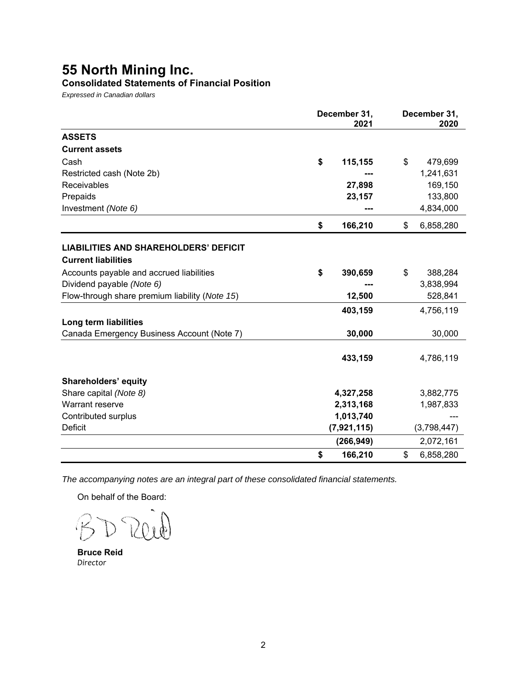# **55 North Mining Inc.**

#### **Consolidated Statements of Financial Position**

*Expressed in Canadian dollars* 

|                                                |    | December 31,<br>2021 |    | December 31,<br>2020 |  |
|------------------------------------------------|----|----------------------|----|----------------------|--|
| <b>ASSETS</b>                                  |    |                      |    |                      |  |
| <b>Current assets</b>                          |    |                      |    |                      |  |
| Cash                                           | \$ | 115,155              | \$ | 479,699              |  |
| Restricted cash (Note 2b)                      |    |                      |    | 1,241,631            |  |
| Receivables                                    |    | 27,898               |    | 169,150              |  |
| Prepaids                                       |    | 23,157               |    | 133,800              |  |
| Investment (Note 6)                            |    |                      |    | 4,834,000            |  |
|                                                | \$ | 166,210              | \$ | 6,858,280            |  |
| <b>LIABILITIES AND SHAREHOLDERS' DEFICIT</b>   |    |                      |    |                      |  |
| <b>Current liabilities</b>                     |    |                      |    |                      |  |
| Accounts payable and accrued liabilities       | \$ | 390,659              | \$ | 388,284              |  |
| Dividend payable (Note 6)                      |    |                      |    | 3,838,994            |  |
| Flow-through share premium liability (Note 15) |    | 12,500               |    | 528,841              |  |
|                                                |    | 403,159              |    | 4,756,119            |  |
| Long term liabilities                          |    |                      |    |                      |  |
| Canada Emergency Business Account (Note 7)     |    | 30,000               |    | 30,000               |  |
|                                                |    | 433,159              |    | 4,786,119            |  |
| Shareholders' equity                           |    |                      |    |                      |  |
| Share capital (Note 8)                         |    | 4,327,258            |    | 3,882,775            |  |
| Warrant reserve                                |    | 2,313,168            |    | 1,987,833            |  |
| Contributed surplus                            |    | 1,013,740            |    |                      |  |
| <b>Deficit</b>                                 |    | (7,921,115)          |    | (3,798,447)          |  |
|                                                |    | (266, 949)           |    | 2,072,161            |  |
|                                                | \$ | 166,210              | \$ | 6,858,280            |  |

*The accompanying notes are an integral part of these consolidated financial statements.*

On behalf of the Board:

**Bruce Reid**  *Director*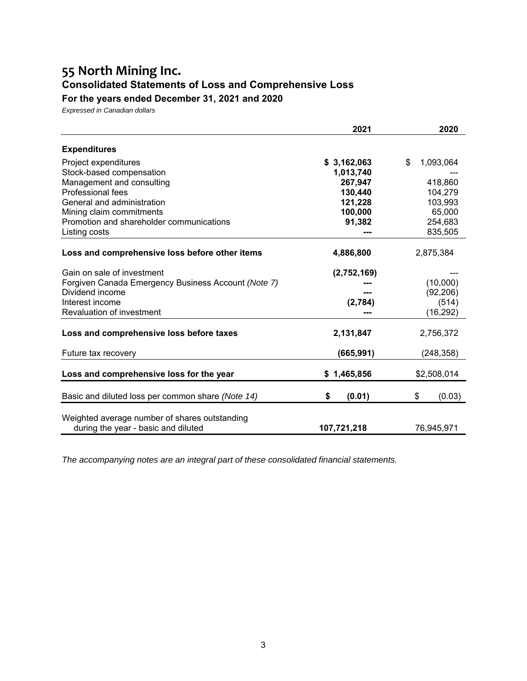### **55 North Mining Inc. Consolidated Statements of Loss and Comprehensive Loss For the years ended December 31, 2021 and 2020**

*Expressed in Canadian dollars* 

|                                                                                      | 2021            | 2020            |
|--------------------------------------------------------------------------------------|-----------------|-----------------|
| <b>Expenditures</b>                                                                  |                 |                 |
| Project expenditures                                                                 | \$3,162,063     | \$<br>1,093,064 |
| Stock-based compensation                                                             | 1,013,740       |                 |
| Management and consulting                                                            | 267,947         | 418,860         |
| Professional fees                                                                    | 130,440         | 104,279         |
| General and administration                                                           | 121,228         | 103,993         |
| Mining claim commitments                                                             | 100,000         | 65,000          |
| Promotion and shareholder communications                                             | 91,382          | 254,683         |
| Listing costs                                                                        |                 | 835,505         |
| Loss and comprehensive loss before other items                                       | 4,886,800       | 2,875,384       |
| Gain on sale of investment                                                           | (2,752,169)     |                 |
| Forgiven Canada Emergency Business Account (Note 7)                                  |                 | (10,000)        |
| Dividend income                                                                      |                 | (92, 206)       |
| Interest income                                                                      | (2,784)         | (514)           |
| Revaluation of investment                                                            | ---             | (16, 292)       |
| Loss and comprehensive loss before taxes                                             | 2,131,847       | 2,756,372       |
| Future tax recovery                                                                  | (665, 991)      | (248, 358)      |
| Loss and comprehensive loss for the year                                             | 1,465,856<br>S. | \$2,508,014     |
| Basic and diluted loss per common share (Note 14)                                    | (0.01)<br>\$    | (0.03)<br>\$    |
| Weighted average number of shares outstanding<br>during the year - basic and diluted | 107,721,218     | 76,945,971      |

*The accompanying notes are an integral part of these consolidated financial statements.*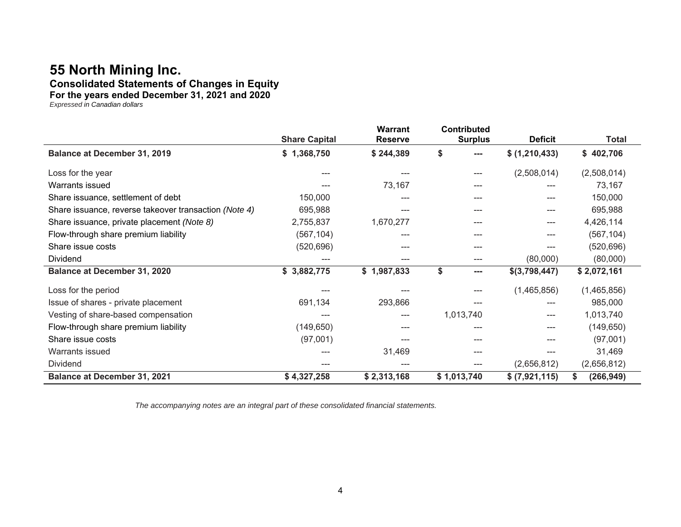### **55 North Mining Inc. Consolidated Statements of Changes in Equity For the years ended December 31, 2021 and 2020**

*Expressed in Canadian dollars* 

|                                                       | <b>Share Capital</b> | Warrant<br><b>Reserve</b> | <b>Contributed</b><br><b>Surplus</b> | <b>Deficit</b> | <b>Total</b>     |
|-------------------------------------------------------|----------------------|---------------------------|--------------------------------------|----------------|------------------|
| <b>Balance at December 31, 2019</b>                   | \$1,368,750          | \$244,389                 | \$<br>$- - -$                        | \$ (1,210,433) | \$402,706        |
| Loss for the year                                     | ---                  |                           | ---                                  | (2,508,014)    | (2,508,014)      |
| Warrants issued                                       |                      | 73,167                    | ---                                  |                | 73,167           |
| Share issuance, settlement of debt                    | 150,000              |                           |                                      |                | 150,000          |
| Share issuance, reverse takeover transaction (Note 4) | 695,988              | ---                       |                                      |                | 695,988          |
| Share issuance, private placement (Note 8)            | 2,755,837            | 1,670,277                 | ---                                  | ---            | 4,426,114        |
| Flow-through share premium liability                  | (567, 104)           |                           |                                      |                | (567, 104)       |
| Share issue costs                                     | (520, 696)           |                           | ---                                  |                | (520, 696)       |
| Dividend                                              |                      | ---                       | ---                                  | (80,000)       | (80,000)         |
| <b>Balance at December 31, 2020</b>                   | \$3,882,775          | \$1,987,833               | \$<br>---                            | \$(3,798,447)  | \$2,072,161      |
| Loss for the period                                   |                      |                           |                                      | (1,465,856)    | (1,465,856)      |
| Issue of shares - private placement                   | 691,134              | 293,866                   |                                      |                | 985,000          |
| Vesting of share-based compensation                   |                      | ---                       | 1,013,740                            | ---            | 1,013,740        |
| Flow-through share premium liability                  | (149, 650)           | ---                       | ---                                  | ---            | (149, 650)       |
| Share issue costs                                     | (97,001)             |                           |                                      |                | (97,001)         |
| Warrants issued                                       |                      | 31,469                    | ---                                  |                | 31,469           |
| <b>Dividend</b>                                       | ---                  | ---                       | ---                                  | (2,656,812)    | (2,656,812)      |
| <b>Balance at December 31, 2021</b>                   | \$4,327,258          | \$2,313,168               | \$1,013,740                          | \$ (7,921,115) | (266, 949)<br>\$ |

 *The accompanying notes are an integral part of these consolidated financial statements.*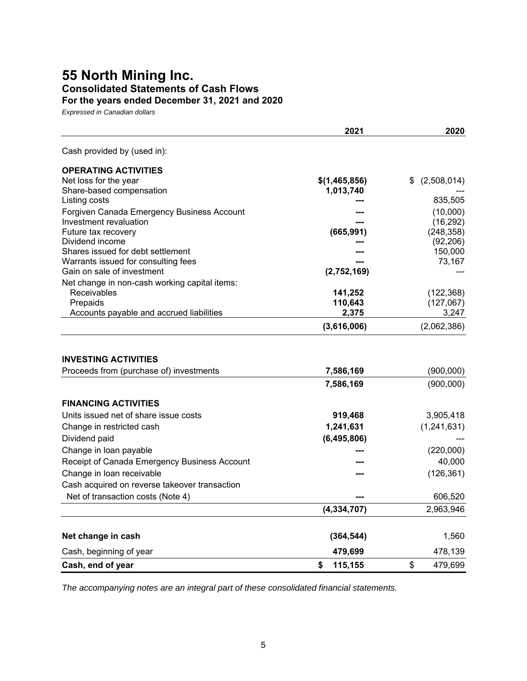### **55 North Mining Inc. Consolidated Statements of Cash Flows For the years ended December 31, 2021 and 2020**

*Expressed in Canadian dollars* 

|                                               | 2021          | 2020              |
|-----------------------------------------------|---------------|-------------------|
| Cash provided by (used in):                   |               |                   |
| <b>OPERATING ACTIVITIES</b>                   |               |                   |
| Net loss for the year                         | \$(1,465,856) | (2,508,014)<br>S. |
| Share-based compensation                      | 1,013,740     |                   |
| Listing costs                                 |               | 835,505           |
| Forgiven Canada Emergency Business Account    |               | (10,000)          |
| Investment revaluation                        |               | (16, 292)         |
| Future tax recovery                           | (665, 991)    | (248, 358)        |
| Dividend income                               |               | (92, 206)         |
| Shares issued for debt settlement             |               | 150,000           |
| Warrants issued for consulting fees           |               | 73,167            |
| Gain on sale of investment                    | (2,752,169)   |                   |
| Net change in non-cash working capital items: |               |                   |
| Receivables                                   | 141,252       | (122, 368)        |
| Prepaids                                      | 110,643       | (127,067)         |
| Accounts payable and accrued liabilities      | 2,375         | 3,247             |
|                                               | (3,616,006)   | (2,062,386)       |
| <b>INVESTING ACTIVITIES</b>                   |               |                   |
| Proceeds from (purchase of) investments       |               |                   |
|                                               | 7,586,169     | (900,000)         |
|                                               | 7,586,169     | (900,000)         |
| <b>FINANCING ACTIVITIES</b>                   |               |                   |
| Units issued net of share issue costs         | 919,468       | 3,905,418         |
| Change in restricted cash                     | 1,241,631     | (1, 241, 631)     |
| Dividend paid                                 | (6, 495, 806) |                   |
| Change in loan payable                        |               | (220,000)         |
| Receipt of Canada Emergency Business Account  |               | 40,000            |
| Change in loan receivable                     |               | (126, 361)        |
| Cash acquired on reverse takeover transaction |               |                   |
| Net of transaction costs (Note 4)             |               | 606,520           |
|                                               |               | 2,963,946         |
|                                               | (4, 334, 707) |                   |
| Net change in cash                            | (364, 544)    | 1,560             |
| Cash, beginning of year                       | 479,699       | 478,139           |
| Cash, end of year                             | 115,155<br>\$ | \$<br>479,699     |

*The accompanying notes are an integral part of these consolidated financial statements.*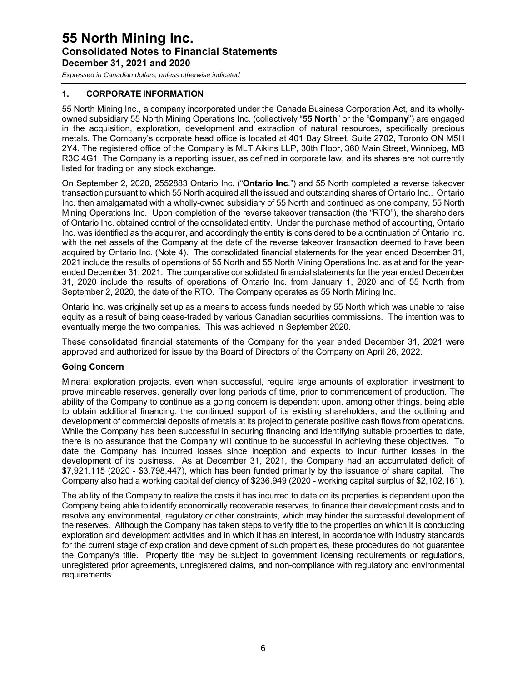*Expressed in Canadian dollars, unless otherwise indicated*

#### **1. CORPORATE INFORMATION**

55 North Mining Inc., a company incorporated under the Canada Business Corporation Act, and its whollyowned subsidiary 55 North Mining Operations Inc. (collectively "**55 North**" or the "**Company**") are engaged in the acquisition, exploration, development and extraction of natural resources, specifically precious metals. The Company's corporate head office is located at 401 Bay Street, Suite 2702, Toronto ON M5H 2Y4. The registered office of the Company is MLT Aikins LLP, 30th Floor, 360 Main Street, Winnipeg, MB R3C 4G1. The Company is a reporting issuer, as defined in corporate law, and its shares are not currently listed for trading on any stock exchange.

On September 2, 2020, 2552883 Ontario Inc. ("**Ontario Inc**.") and 55 North completed a reverse takeover transaction pursuant to which 55 North acquired all the issued and outstanding shares of Ontario Inc.. Ontario Inc. then amalgamated with a wholly-owned subsidiary of 55 North and continued as one company, 55 North Mining Operations Inc. Upon completion of the reverse takeover transaction (the "RTO"), the shareholders of Ontario Inc. obtained control of the consolidated entity. Under the purchase method of accounting, Ontario Inc. was identified as the acquirer, and accordingly the entity is considered to be a continuation of Ontario Inc. with the net assets of the Company at the date of the reverse takeover transaction deemed to have been acquired by Ontario Inc. (Note 4). The consolidated financial statements for the year ended December 31, 2021 include the results of operations of 55 North and 55 North Mining Operations Inc. as at and for the yearended December 31, 2021. The comparative consolidated financial statements for the year ended December 31, 2020 include the results of operations of Ontario Inc. from January 1, 2020 and of 55 North from September 2, 2020, the date of the RTO. The Company operates as 55 North Mining Inc.

Ontario Inc. was originally set up as a means to access funds needed by 55 North which was unable to raise equity as a result of being cease-traded by various Canadian securities commissions. The intention was to eventually merge the two companies. This was achieved in September 2020.

These consolidated financial statements of the Company for the year ended December 31, 2021 were approved and authorized for issue by the Board of Directors of the Company on April 26, 2022.

#### **Going Concern**

Mineral exploration projects, even when successful, require large amounts of exploration investment to prove mineable reserves, generally over long periods of time, prior to commencement of production. The ability of the Company to continue as a going concern is dependent upon, among other things, being able to obtain additional financing, the continued support of its existing shareholders, and the outlining and development of commercial deposits of metals at its project to generate positive cash flows from operations. While the Company has been successful in securing financing and identifying suitable properties to date, there is no assurance that the Company will continue to be successful in achieving these objectives. To date the Company has incurred losses since inception and expects to incur further losses in the development of its business. As at December 31, 2021, the Company had an accumulated deficit of \$7,921,115 (2020 - \$3,798,447), which has been funded primarily by the issuance of share capital. The Company also had a working capital deficiency of \$236,949 (2020 - working capital surplus of \$2,102,161).

The ability of the Company to realize the costs it has incurred to date on its properties is dependent upon the Company being able to identify economically recoverable reserves, to finance their development costs and to resolve any environmental, regulatory or other constraints, which may hinder the successful development of the reserves. Although the Company has taken steps to verify title to the properties on which it is conducting exploration and development activities and in which it has an interest, in accordance with industry standards for the current stage of exploration and development of such properties, these procedures do not guarantee the Company's title. Property title may be subject to government licensing requirements or regulations, unregistered prior agreements, unregistered claims, and non-compliance with regulatory and environmental requirements.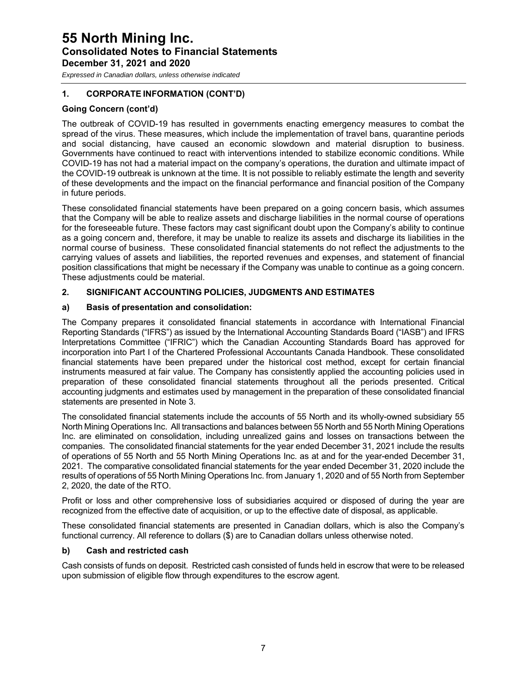*Expressed in Canadian dollars, unless otherwise indicated*

#### **1. CORPORATE INFORMATION (CONT'D)**

#### **Going Concern (cont'd)**

The outbreak of COVID-19 has resulted in governments enacting emergency measures to combat the spread of the virus. These measures, which include the implementation of travel bans, quarantine periods and social distancing, have caused an economic slowdown and material disruption to business. Governments have continued to react with interventions intended to stabilize economic conditions. While COVID-19 has not had a material impact on the company's operations, the duration and ultimate impact of the COVID-19 outbreak is unknown at the time. It is not possible to reliably estimate the length and severity of these developments and the impact on the financial performance and financial position of the Company in future periods.

These consolidated financial statements have been prepared on a going concern basis, which assumes that the Company will be able to realize assets and discharge liabilities in the normal course of operations for the foreseeable future. These factors may cast significant doubt upon the Company's ability to continue as a going concern and, therefore, it may be unable to realize its assets and discharge its liabilities in the normal course of business. These consolidated financial statements do not reflect the adjustments to the carrying values of assets and liabilities, the reported revenues and expenses, and statement of financial position classifications that might be necessary if the Company was unable to continue as a going concern. These adjustments could be material.

#### **2. SIGNIFICANT ACCOUNTING POLICIES, JUDGMENTS AND ESTIMATES**

#### **a) Basis of presentation and consolidation:**

The Company prepares it consolidated financial statements in accordance with International Financial Reporting Standards ("IFRS") as issued by the International Accounting Standards Board ("IASB") and IFRS Interpretations Committee ("IFRIC") which the Canadian Accounting Standards Board has approved for incorporation into Part I of the Chartered Professional Accountants Canada Handbook. These consolidated financial statements have been prepared under the historical cost method, except for certain financial instruments measured at fair value. The Company has consistently applied the accounting policies used in preparation of these consolidated financial statements throughout all the periods presented. Critical accounting judgments and estimates used by management in the preparation of these consolidated financial statements are presented in Note 3.

The consolidated financial statements include the accounts of 55 North and its wholly-owned subsidiary 55 North Mining Operations Inc. All transactions and balances between 55 North and 55 North Mining Operations Inc. are eliminated on consolidation, including unrealized gains and losses on transactions between the companies. The consolidated financial statements for the year ended December 31, 2021 include the results of operations of 55 North and 55 North Mining Operations Inc. as at and for the year-ended December 31, 2021. The comparative consolidated financial statements for the year ended December 31, 2020 include the results of operations of 55 North Mining Operations Inc. from January 1, 2020 and of 55 North from September 2, 2020, the date of the RTO.

Profit or loss and other comprehensive loss of subsidiaries acquired or disposed of during the year are recognized from the effective date of acquisition, or up to the effective date of disposal, as applicable.

These consolidated financial statements are presented in Canadian dollars, which is also the Company's functional currency. All reference to dollars (\$) are to Canadian dollars unless otherwise noted.

#### **b) Cash and restricted cash**

Cash consists of funds on deposit. Restricted cash consisted of funds held in escrow that were to be released upon submission of eligible flow through expenditures to the escrow agent.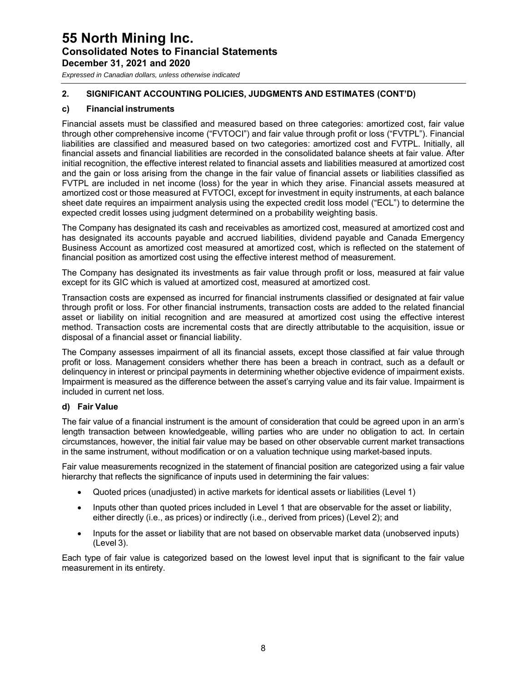*Expressed in Canadian dollars, unless otherwise indicated*

#### **2. SIGNIFICANT ACCOUNTING POLICIES, JUDGMENTS AND ESTIMATES (CONT'D)**

#### **c) Financial instruments**

Financial assets must be classified and measured based on three categories: amortized cost, fair value through other comprehensive income ("FVTOCI") and fair value through profit or loss ("FVTPL"). Financial liabilities are classified and measured based on two categories: amortized cost and FVTPL. Initially, all financial assets and financial liabilities are recorded in the consolidated balance sheets at fair value. After initial recognition, the effective interest related to financial assets and liabilities measured at amortized cost and the gain or loss arising from the change in the fair value of financial assets or liabilities classified as FVTPL are included in net income (loss) for the year in which they arise. Financial assets measured at amortized cost or those measured at FVTOCI, except for investment in equity instruments, at each balance sheet date requires an impairment analysis using the expected credit loss model ("ECL") to determine the expected credit losses using judgment determined on a probability weighting basis.

The Company has designated its cash and receivables as amortized cost, measured at amortized cost and has designated its accounts payable and accrued liabilities, dividend payable and Canada Emergency Business Account as amortized cost measured at amortized cost, which is reflected on the statement of financial position as amortized cost using the effective interest method of measurement.

The Company has designated its investments as fair value through profit or loss, measured at fair value except for its GIC which is valued at amortized cost, measured at amortized cost.

Transaction costs are expensed as incurred for financial instruments classified or designated at fair value through profit or loss. For other financial instruments, transaction costs are added to the related financial asset or liability on initial recognition and are measured at amortized cost using the effective interest method. Transaction costs are incremental costs that are directly attributable to the acquisition, issue or disposal of a financial asset or financial liability.

The Company assesses impairment of all its financial assets, except those classified at fair value through profit or loss. Management considers whether there has been a breach in contract, such as a default or delinquency in interest or principal payments in determining whether objective evidence of impairment exists. Impairment is measured as the difference between the asset's carrying value and its fair value. Impairment is included in current net loss.

#### **d) Fair Value**

The fair value of a financial instrument is the amount of consideration that could be agreed upon in an arm's length transaction between knowledgeable, willing parties who are under no obligation to act. In certain circumstances, however, the initial fair value may be based on other observable current market transactions in the same instrument, without modification or on a valuation technique using market-based inputs.

Fair value measurements recognized in the statement of financial position are categorized using a fair value hierarchy that reflects the significance of inputs used in determining the fair values:

- Quoted prices (unadjusted) in active markets for identical assets or liabilities (Level 1)
- Inputs other than quoted prices included in Level 1 that are observable for the asset or liability, either directly (i.e., as prices) or indirectly (i.e., derived from prices) (Level 2); and
- Inputs for the asset or liability that are not based on observable market data (unobserved inputs) (Level 3).

Each type of fair value is categorized based on the lowest level input that is significant to the fair value measurement in its entirety.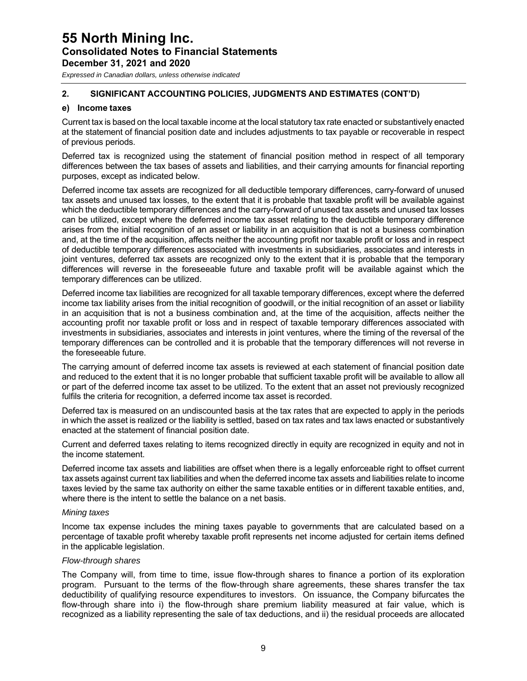*Expressed in Canadian dollars, unless otherwise indicated*

#### **2. SIGNIFICANT ACCOUNTING POLICIES, JUDGMENTS AND ESTIMATES (CONT'D)**

#### **e) Income taxes**

Current tax is based on the local taxable income at the local statutory tax rate enacted or substantively enacted at the statement of financial position date and includes adjustments to tax payable or recoverable in respect of previous periods.

Deferred tax is recognized using the statement of financial position method in respect of all temporary differences between the tax bases of assets and liabilities, and their carrying amounts for financial reporting purposes, except as indicated below.

Deferred income tax assets are recognized for all deductible temporary differences, carry-forward of unused tax assets and unused tax losses, to the extent that it is probable that taxable profit will be available against which the deductible temporary differences and the carry-forward of unused tax assets and unused tax losses can be utilized, except where the deferred income tax asset relating to the deductible temporary difference arises from the initial recognition of an asset or liability in an acquisition that is not a business combination and, at the time of the acquisition, affects neither the accounting profit nor taxable profit or loss and in respect of deductible temporary differences associated with investments in subsidiaries, associates and interests in joint ventures, deferred tax assets are recognized only to the extent that it is probable that the temporary differences will reverse in the foreseeable future and taxable profit will be available against which the temporary differences can be utilized.

Deferred income tax liabilities are recognized for all taxable temporary differences, except where the deferred income tax liability arises from the initial recognition of goodwill, or the initial recognition of an asset or liability in an acquisition that is not a business combination and, at the time of the acquisition, affects neither the accounting profit nor taxable profit or loss and in respect of taxable temporary differences associated with investments in subsidiaries, associates and interests in joint ventures, where the timing of the reversal of the temporary differences can be controlled and it is probable that the temporary differences will not reverse in the foreseeable future.

The carrying amount of deferred income tax assets is reviewed at each statement of financial position date and reduced to the extent that it is no longer probable that sufficient taxable profit will be available to allow all or part of the deferred income tax asset to be utilized. To the extent that an asset not previously recognized fulfils the criteria for recognition, a deferred income tax asset is recorded.

Deferred tax is measured on an undiscounted basis at the tax rates that are expected to apply in the periods in which the asset is realized or the liability is settled, based on tax rates and tax laws enacted or substantively enacted at the statement of financial position date.

Current and deferred taxes relating to items recognized directly in equity are recognized in equity and not in the income statement.

Deferred income tax assets and liabilities are offset when there is a legally enforceable right to offset current tax assets against current tax liabilities and when the deferred income tax assets and liabilities relate to income taxes levied by the same tax authority on either the same taxable entities or in different taxable entities, and, where there is the intent to settle the balance on a net basis.

#### *Mining taxes*

Income tax expense includes the mining taxes payable to governments that are calculated based on a percentage of taxable profit whereby taxable profit represents net income adjusted for certain items defined in the applicable legislation.

#### *Flow-through shares*

The Company will, from time to time, issue flow-through shares to finance a portion of its exploration program. Pursuant to the terms of the flow-through share agreements, these shares transfer the tax deductibility of qualifying resource expenditures to investors. On issuance, the Company bifurcates the flow-through share into i) the flow-through share premium liability measured at fair value, which is recognized as a liability representing the sale of tax deductions, and ii) the residual proceeds are allocated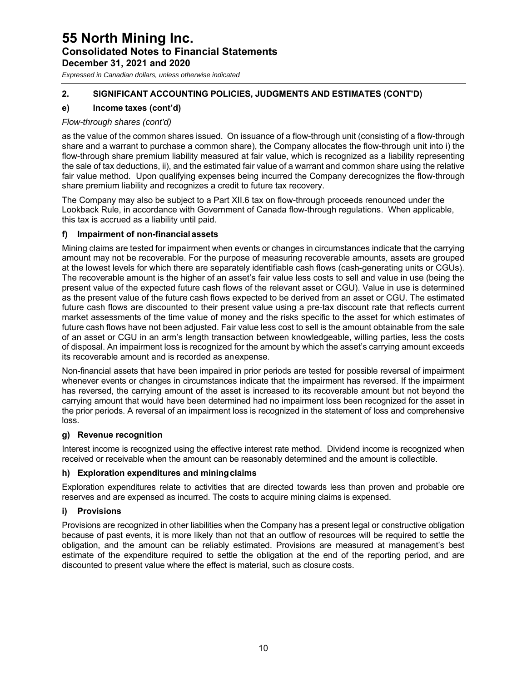*Expressed in Canadian dollars, unless otherwise indicated*

#### **2. SIGNIFICANT ACCOUNTING POLICIES, JUDGMENTS AND ESTIMATES (CONT'D)**

#### **e) Income taxes (cont'd)**

#### *Flow-through shares (cont'd)*

as the value of the common shares issued. On issuance of a flow-through unit (consisting of a flow-through share and a warrant to purchase a common share), the Company allocates the flow-through unit into i) the flow-through share premium liability measured at fair value, which is recognized as a liability representing the sale of tax deductions, ii), and the estimated fair value of a warrant and common share using the relative fair value method. Upon qualifying expenses being incurred the Company derecognizes the flow-through share premium liability and recognizes a credit to future tax recovery.

The Company may also be subject to a Part XII.6 tax on flow-through proceeds renounced under the Lookback Rule, in accordance with Government of Canada flow-through regulations. When applicable, this tax is accrued as a liability until paid.

#### **f) Impairment of non-financial assets**

Mining claims are tested for impairment when events or changes in circumstances indicate that the carrying amount may not be recoverable. For the purpose of measuring recoverable amounts, assets are grouped at the lowest levels for which there are separately identifiable cash flows (cash-generating units or CGUs). The recoverable amount is the higher of an asset's fair value less costs to sell and value in use (being the present value of the expected future cash flows of the relevant asset or CGU). Value in use is determined as the present value of the future cash flows expected to be derived from an asset or CGU. The estimated future cash flows are discounted to their present value using a pre-tax discount rate that reflects current market assessments of the time value of money and the risks specific to the asset for which estimates of future cash flows have not been adjusted. Fair value less cost to sell is the amount obtainable from the sale of an asset or CGU in an arm's length transaction between knowledgeable, willing parties, less the costs of disposal. An impairment loss is recognized for the amount by which the asset's carrying amount exceeds its recoverable amount and is recorded as an expense.

Non-financial assets that have been impaired in prior periods are tested for possible reversal of impairment whenever events or changes in circumstances indicate that the impairment has reversed. If the impairment has reversed, the carrying amount of the asset is increased to its recoverable amount but not beyond the carrying amount that would have been determined had no impairment loss been recognized for the asset in the prior periods. A reversal of an impairment loss is recognized in the statement of loss and comprehensive loss.

#### **g) Revenue recognition**

Interest income is recognized using the effective interest rate method. Dividend income is recognized when received or receivable when the amount can be reasonably determined and the amount is collectible.

#### **h) Exploration expenditures and mining claims**

Exploration expenditures relate to activities that are directed towards less than proven and probable ore reserves and are expensed as incurred. The costs to acquire mining claims is expensed.

#### **i) Provisions**

Provisions are recognized in other liabilities when the Company has a present legal or constructive obligation because of past events, it is more likely than not that an outflow of resources will be required to settle the obligation, and the amount can be reliably estimated. Provisions are measured at management's best estimate of the expenditure required to settle the obligation at the end of the reporting period, and are discounted to present value where the effect is material, such as closure costs.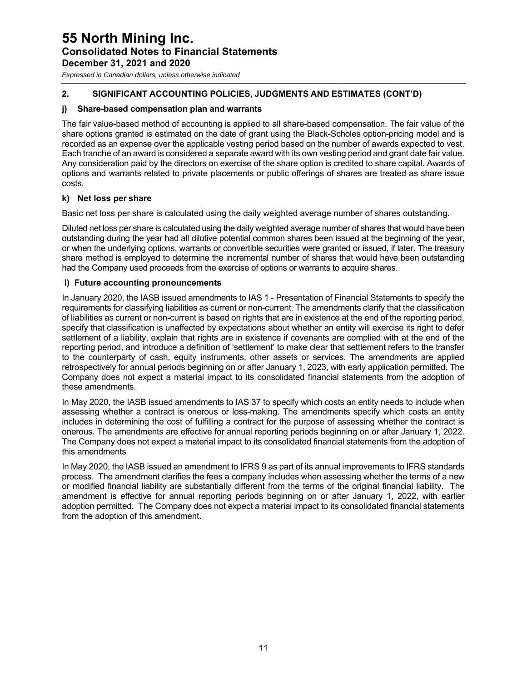*Expressed in Canadian dollars, unless otherwise indicated*

#### **2. SIGNIFICANT ACCOUNTING POLICIES, JUDGMENTS AND ESTIMATES (CONT'D)**

#### **j) Share-based compensation plan and warrants**

The fair value-based method of accounting is applied to all share-based compensation. The fair value of the share options granted is estimated on the date of grant using the Black-Scholes option-pricing model and is recorded as an expense over the applicable vesting period based on the number of awards expected to vest. Each tranche of an award is considered a separate award with its own vesting period and grant date fair value. Any consideration paid by the directors on exercise of the share option is credited to share capital. Awards of options and warrants related to private placements or public offerings of shares are treated as share issue costs.

#### **k) Net loss per share**

Basic net loss per share is calculated using the daily weighted average number of shares outstanding.

Diluted net loss per share is calculated using the daily weighted average number of shares that would have been outstanding during the year had all dilutive potential common shares been issued at the beginning of the year, or when the underlying options, warrants or convertible securities were granted or issued, if later. The treasury share method is employed to determine the incremental number of shares that would have been outstanding had the Company used proceeds from the exercise of options or warrants to acquire shares.

#### **l) Future accounting pronouncements**

In January 2020, the IASB issued amendments to IAS 1 - Presentation of Financial Statements to specify the requirements for classifying liabilities as current or non-current. The amendments clarify that the classification of liabilities as current or non-current is based on rights that are in existence at the end of the reporting period, specify that classification is unaffected by expectations about whether an entity will exercise its right to defer settlement of a liability, explain that rights are in existence if covenants are complied with at the end of the reporting period, and introduce a definition of 'settlement' to make clear that settlement refers to the transfer to the counterparty of cash, equity instruments, other assets or services. The amendments are applied retrospectively for annual periods beginning on or after January 1, 2023, with early application permitted. The Company does not expect a material impact to its consolidated financial statements from the adoption of these amendments.

In May 2020, the IASB issued amendments to IAS 37 to specify which costs an entity needs to include when assessing whether a contract is onerous or loss-making. The amendments specify which costs an entity includes in determining the cost of fulfilling a contract for the purpose of assessing whether the contract is onerous. The amendments are effective for annual reporting periods beginning on or after January 1, 2022. The Company does not expect a material impact to its consolidated financial statements from the adoption of this amendments

In May 2020, the IASB issued an amendment to IFRS 9 as part of its annual improvements to IFRS standards process. The amendment clarifies the fees a company includes when assessing whether the terms of a new or modified financial liability are substantially different from the terms of the original financial liability. The amendment is effective for annual reporting periods beginning on or after January 1, 2022, with earlier adoption permitted. The Company does not expect a material impact to its consolidated financial statements from the adoption of this amendment.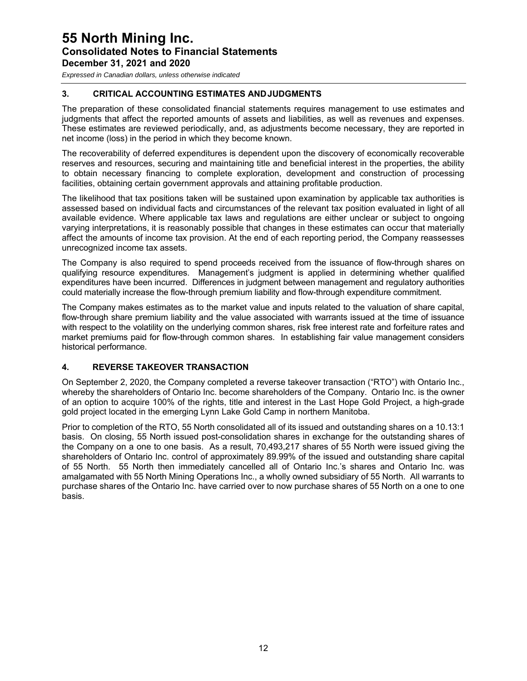*Expressed in Canadian dollars, unless otherwise indicated*

#### **3. CRITICAL ACCOUNTING ESTIMATES AND JUDGMENTS**

The preparation of these consolidated financial statements requires management to use estimates and judgments that affect the reported amounts of assets and liabilities, as well as revenues and expenses. These estimates are reviewed periodically, and, as adjustments become necessary, they are reported in net income (loss) in the period in which they become known.

The recoverability of deferred expenditures is dependent upon the discovery of economically recoverable reserves and resources, securing and maintaining title and beneficial interest in the properties, the ability to obtain necessary financing to complete exploration, development and construction of processing facilities, obtaining certain government approvals and attaining profitable production.

The likelihood that tax positions taken will be sustained upon examination by applicable tax authorities is assessed based on individual facts and circumstances of the relevant tax position evaluated in light of all available evidence. Where applicable tax laws and regulations are either unclear or subject to ongoing varying interpretations, it is reasonably possible that changes in these estimates can occur that materially affect the amounts of income tax provision. At the end of each reporting period, the Company reassesses unrecognized income tax assets.

The Company is also required to spend proceeds received from the issuance of flow-through shares on qualifying resource expenditures. Management's judgment is applied in determining whether qualified expenditures have been incurred. Differences in judgment between management and regulatory authorities could materially increase the flow-through premium liability and flow-through expenditure commitment.

The Company makes estimates as to the market value and inputs related to the valuation of share capital, flow-through share premium liability and the value associated with warrants issued at the time of issuance with respect to the volatility on the underlying common shares, risk free interest rate and forfeiture rates and market premiums paid for flow-through common shares. In establishing fair value management considers historical performance.

#### **4. REVERSE TAKEOVER TRANSACTION**

On September 2, 2020, the Company completed a reverse takeover transaction ("RTO") with Ontario Inc., whereby the shareholders of Ontario Inc. become shareholders of the Company. Ontario Inc. is the owner of an option to acquire 100% of the rights, title and interest in the Last Hope Gold Project, a high-grade gold project located in the emerging Lynn Lake Gold Camp in northern Manitoba.

Prior to completion of the RTO, 55 North consolidated all of its issued and outstanding shares on a 10.13:1 basis. On closing, 55 North issued post-consolidation shares in exchange for the outstanding shares of the Company on a one to one basis. As a result, 70,493,217 shares of 55 North were issued giving the shareholders of Ontario Inc. control of approximately 89.99% of the issued and outstanding share capital of 55 North. 55 North then immediately cancelled all of Ontario Inc.'s shares and Ontario Inc. was amalgamated with 55 North Mining Operations Inc., a wholly owned subsidiary of 55 North. All warrants to purchase shares of the Ontario Inc. have carried over to now purchase shares of 55 North on a one to one basis.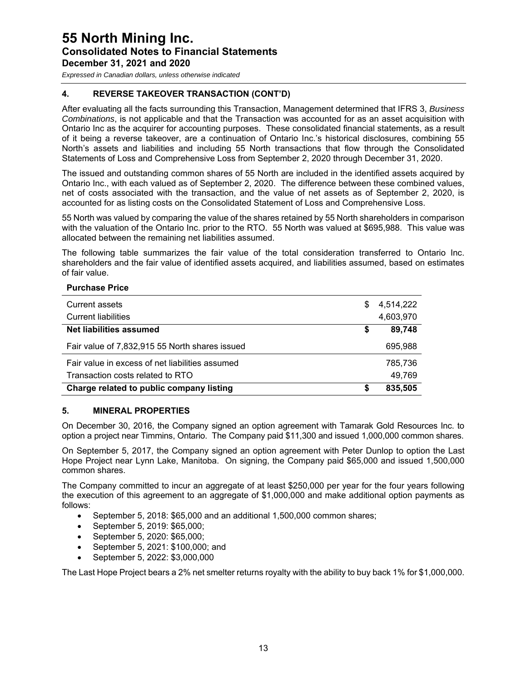*Expressed in Canadian dollars, unless otherwise indicated*

#### **4. REVERSE TAKEOVER TRANSACTION (CONT'D)**

After evaluating all the facts surrounding this Transaction, Management determined that IFRS 3, *Business Combinations*, is not applicable and that the Transaction was accounted for as an asset acquisition with Ontario Inc as the acquirer for accounting purposes. These consolidated financial statements, as a result of it being a reverse takeover, are a continuation of Ontario Inc.'s historical disclosures, combining 55 North's assets and liabilities and including 55 North transactions that flow through the Consolidated Statements of Loss and Comprehensive Loss from September 2, 2020 through December 31, 2020.

The issued and outstanding common shares of 55 North are included in the identified assets acquired by Ontario Inc., with each valued as of September 2, 2020. The difference between these combined values, net of costs associated with the transaction, and the value of net assets as of September 2, 2020, is accounted for as listing costs on the Consolidated Statement of Loss and Comprehensive Loss.

55 North was valued by comparing the value of the shares retained by 55 North shareholders in comparison with the valuation of the Ontario Inc. prior to the RTO. 55 North was valued at \$695,988. This value was allocated between the remaining net liabilities assumed.

The following table summarizes the fair value of the total consideration transferred to Ontario Inc. shareholders and the fair value of identified assets acquired, and liabilities assumed, based on estimates of fair value.

#### **Purchase Price**

| Current assets                                  | S  | 4,514,222 |
|-------------------------------------------------|----|-----------|
| <b>Current liabilities</b>                      |    | 4,603,970 |
| Net liabilities assumed                         | \$ | 89,748    |
| Fair value of 7,832,915 55 North shares issued  |    | 695,988   |
| Fair value in excess of net liabilities assumed |    | 785,736   |
| Transaction costs related to RTO                |    | 49,769    |
| Charge related to public company listing        | S  | 835,505   |

#### **5. MINERAL PROPERTIES**

On December 30, 2016, the Company signed an option agreement with Tamarak Gold Resources Inc. to option a project near Timmins, Ontario. The Company paid \$11,300 and issued 1,000,000 common shares.

On September 5, 2017, the Company signed an option agreement with Peter Dunlop to option the Last Hope Project near Lynn Lake, Manitoba. On signing, the Company paid \$65,000 and issued 1,500,000 common shares.

The Company committed to incur an aggregate of at least \$250,000 per year for the four years following the execution of this agreement to an aggregate of \$1,000,000 and make additional option payments as follows:

- September 5, 2018: \$65,000 and an additional 1,500,000 common shares;
- September 5, 2019: \$65,000;
- September 5, 2020: \$65,000;
- September 5, 2021: \$100,000; and
- September 5, 2022: \$3,000,000

The Last Hope Project bears a 2% net smelter returns royalty with the ability to buy back 1% for \$1,000,000.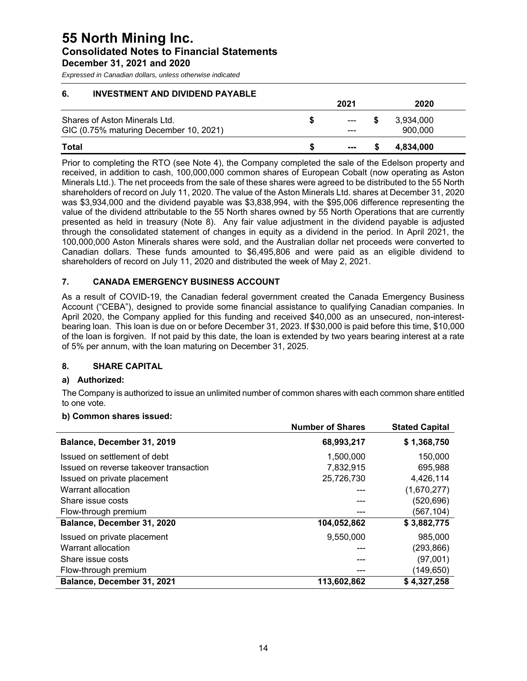*Expressed in Canadian dollars, unless otherwise indicated*

### **6. INVESTMENT AND DIVIDEND PAYABLE 2021 2020**  Shares of Aston Minerals Ltd. **\$** --- **\$** 3,934,000 GIC (0.75% maturing December 10, 2021) --- 900,000 **Total \$ --- \$ 4,834,000**

Prior to completing the RTO (see Note 4), the Company completed the sale of the Edelson property and received, in addition to cash, 100,000,000 common shares of European Cobalt (now operating as Aston Minerals Ltd.). The net proceeds from the sale of these shares were agreed to be distributed to the 55 North shareholders of record on July 11, 2020. The value of the Aston Minerals Ltd. shares at December 31, 2020 was \$3,934,000 and the dividend payable was \$3,838,994, with the \$95,006 difference representing the value of the dividend attributable to the 55 North shares owned by 55 North Operations that are currently presented as held in treasury (Note 8). Any fair value adjustment in the dividend payable is adjusted through the consolidated statement of changes in equity as a dividend in the period. In April 2021, the 100,000,000 Aston Minerals shares were sold, and the Australian dollar net proceeds were converted to Canadian dollars. These funds amounted to \$6,495,806 and were paid as an eligible dividend to shareholders of record on July 11, 2020 and distributed the week of May 2, 2021.

#### **7. CANADA EMERGENCY BUSINESS ACCOUNT**

As a result of COVID-19, the Canadian federal government created the Canada Emergency Business Account ("CEBA"), designed to provide some financial assistance to qualifying Canadian companies. In April 2020, the Company applied for this funding and received \$40,000 as an unsecured, non-interestbearing loan. This loan is due on or before December 31, 2023. If \$30,000 is paid before this time, \$10,000 of the loan is forgiven. If not paid by this date, the loan is extended by two years bearing interest at a rate of 5% per annum, with the loan maturing on December 31, 2025.

#### **8. SHARE CAPITAL**

#### **a) Authorized:**

The Company is authorized to issue an unlimited number of common shares with each common share entitled to one vote.

#### **b) Common shares issued:**

|                                        | <b>Number of Shares</b> | <b>Stated Capital</b> |
|----------------------------------------|-------------------------|-----------------------|
| Balance, December 31, 2019             | 68,993,217              | \$1,368,750           |
| Issued on settlement of debt           | 1,500,000               | 150,000               |
| Issued on reverse takeover transaction | 7,832,915               | 695,988               |
| Issued on private placement            | 25,726,730              | 4,426,114             |
| Warrant allocation                     |                         | (1,670,277)           |
| Share issue costs                      |                         | (520,696)             |
| Flow-through premium                   |                         | (567,104)             |
| Balance, December 31, 2020             | 104,052,862             | \$3,882,775           |
| Issued on private placement            | 9,550,000               | 985,000               |
| Warrant allocation                     |                         | (293, 866)            |
| Share issue costs                      |                         | (97,001)              |
| Flow-through premium                   |                         | (149,650)             |
| Balance, December 31, 2021             | 113,602,862             | \$4,327,258           |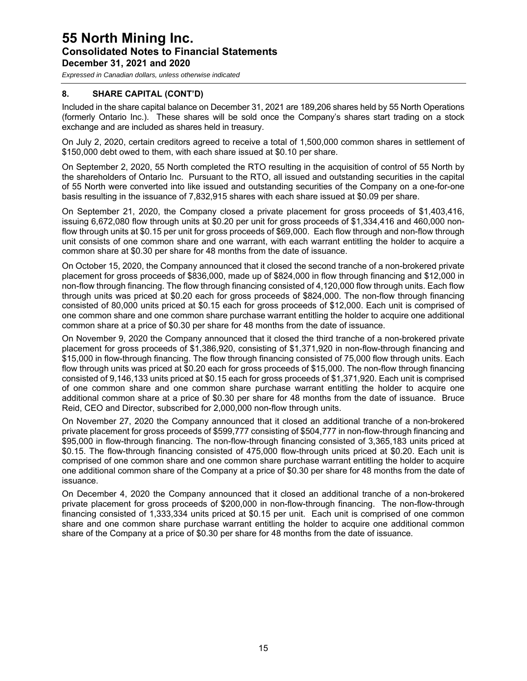*Expressed in Canadian dollars, unless otherwise indicated*

#### **8. SHARE CAPITAL (CONT'D)**

Included in the share capital balance on December 31, 2021 are 189,206 shares held by 55 North Operations (formerly Ontario Inc.). These shares will be sold once the Company's shares start trading on a stock exchange and are included as shares held in treasury.

On July 2, 2020, certain creditors agreed to receive a total of 1,500,000 common shares in settlement of \$150,000 debt owed to them, with each share issued at \$0.10 per share.

On September 2, 2020, 55 North completed the RTO resulting in the acquisition of control of 55 North by the shareholders of Ontario Inc. Pursuant to the RTO, all issued and outstanding securities in the capital of 55 North were converted into like issued and outstanding securities of the Company on a one-for-one basis resulting in the issuance of 7,832,915 shares with each share issued at \$0.09 per share.

On September 21, 2020, the Company closed a private placement for gross proceeds of \$1,403,416, issuing 6,672,080 flow through units at \$0.20 per unit for gross proceeds of \$1,334,416 and 460,000 nonflow through units at \$0.15 per unit for gross proceeds of \$69,000. Each flow through and non-flow through unit consists of one common share and one warrant, with each warrant entitling the holder to acquire a common share at \$0.30 per share for 48 months from the date of issuance.

On October 15, 2020, the Company announced that it closed the second tranche of a non-brokered private placement for gross proceeds of \$836,000, made up of \$824,000 in flow through financing and \$12,000 in non-flow through financing. The flow through financing consisted of 4,120,000 flow through units. Each flow through units was priced at \$0.20 each for gross proceeds of \$824,000. The non-flow through financing consisted of 80,000 units priced at \$0.15 each for gross proceeds of \$12,000. Each unit is comprised of one common share and one common share purchase warrant entitling the holder to acquire one additional common share at a price of \$0.30 per share for 48 months from the date of issuance.

On November 9, 2020 the Company announced that it closed the third tranche of a non-brokered private placement for gross proceeds of \$1,386,920, consisting of \$1,371,920 in non-flow-through financing and \$15,000 in flow-through financing. The flow through financing consisted of 75,000 flow through units. Each flow through units was priced at \$0.20 each for gross proceeds of \$15,000. The non-flow through financing consisted of 9,146,133 units priced at \$0.15 each for gross proceeds of \$1,371,920. Each unit is comprised of one common share and one common share purchase warrant entitling the holder to acquire one additional common share at a price of \$0.30 per share for 48 months from the date of issuance. Bruce Reid, CEO and Director, subscribed for 2,000,000 non-flow through units.

On November 27, 2020 the Company announced that it closed an additional tranche of a non-brokered private placement for gross proceeds of \$599,777 consisting of \$504,777 in non-flow-through financing and \$95,000 in flow-through financing. The non-flow-through financing consisted of 3,365,183 units priced at \$0.15. The flow-through financing consisted of 475,000 flow-through units priced at \$0.20. Each unit is comprised of one common share and one common share purchase warrant entitling the holder to acquire one additional common share of the Company at a price of \$0.30 per share for 48 months from the date of issuance.

On December 4, 2020 the Company announced that it closed an additional tranche of a non-brokered private placement for gross proceeds of \$200,000 in non-flow-through financing. The non-flow-through financing consisted of 1,333,334 units priced at \$0.15 per unit. Each unit is comprised of one common share and one common share purchase warrant entitling the holder to acquire one additional common share of the Company at a price of \$0.30 per share for 48 months from the date of issuance.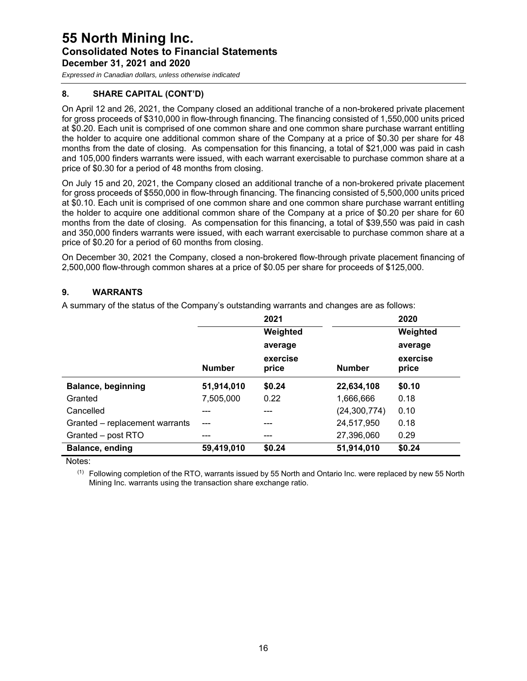*Expressed in Canadian dollars, unless otherwise indicated*

#### **8. SHARE CAPITAL (CONT'D)**

On April 12 and 26, 2021, the Company closed an additional tranche of a non-brokered private placement for gross proceeds of \$310,000 in flow-through financing. The financing consisted of 1,550,000 units priced at \$0.20. Each unit is comprised of one common share and one common share purchase warrant entitling the holder to acquire one additional common share of the Company at a price of \$0.30 per share for 48 months from the date of closing. As compensation for this financing, a total of \$21,000 was paid in cash and 105,000 finders warrants were issued, with each warrant exercisable to purchase common share at a price of \$0.30 for a period of 48 months from closing.

On July 15 and 20, 2021, the Company closed an additional tranche of a non-brokered private placement for gross proceeds of \$550,000 in flow-through financing. The financing consisted of 5,500,000 units priced at \$0.10. Each unit is comprised of one common share and one common share purchase warrant entitling the holder to acquire one additional common share of the Company at a price of \$0.20 per share for 60 months from the date of closing. As compensation for this financing, a total of \$39,550 was paid in cash and 350,000 finders warrants were issued, with each warrant exercisable to purchase common share at a price of \$0.20 for a period of 60 months from closing.

On December 30, 2021 the Company, closed a non-brokered flow-through private placement financing of 2,500,000 flow-through common shares at a price of \$0.05 per share for proceeds of \$125,000.

#### **9. WARRANTS**

A summary of the status of the Company's outstanding warrants and changes are as follows:

|                                |               | 2021              |                | 2020              |
|--------------------------------|---------------|-------------------|----------------|-------------------|
|                                |               | Weighted          |                | Weighted          |
|                                |               | average           |                | average           |
|                                | <b>Number</b> | exercise<br>price | <b>Number</b>  | exercise<br>price |
| <b>Balance, beginning</b>      | 51,914,010    | \$0.24            | 22,634,108     | \$0.10            |
| Granted                        | 7,505,000     | 0.22              | 1,666,666      | 0.18              |
| Cancelled                      |               | ---               | (24, 300, 774) | 0.10              |
| Granted - replacement warrants | $---$         | ---               | 24,517,950     | 0.18              |
| Granted - post RTO             |               |                   | 27,396,060     | 0.29              |
| Balance, ending                | 59,419,010    | \$0.24            | 51,914,010     | \$0.24            |

Notes:

 $<sup>(1)</sup>$  Following completion of the RTO, warrants issued by 55 North and Ontario Inc. were replaced by new 55 North</sup> Mining Inc. warrants using the transaction share exchange ratio.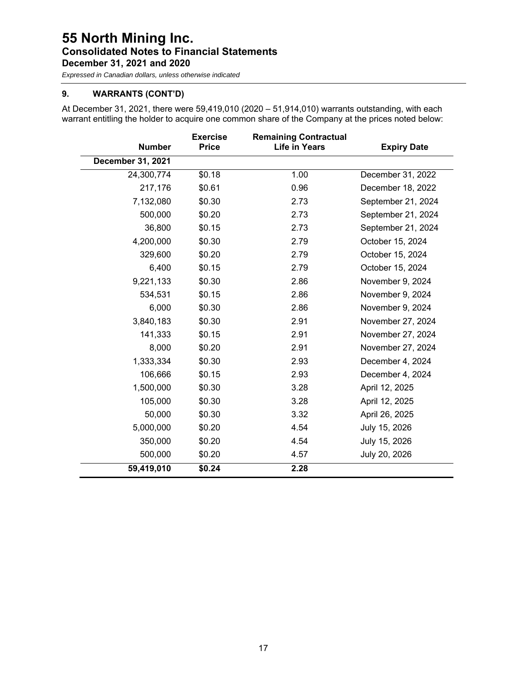*Expressed in Canadian dollars, unless otherwise indicated*

#### **9. WARRANTS (CONT'D)**

At December 31, 2021, there were 59,419,010 (2020 – 51,914,010) warrants outstanding, with each warrant entitling the holder to acquire one common share of the Company at the prices noted below:

| <b>Number</b>     | <b>Exercise</b><br><b>Price</b> | <b>Remaining Contractual</b><br><b>Life in Years</b> | <b>Expiry Date</b> |
|-------------------|---------------------------------|------------------------------------------------------|--------------------|
| December 31, 2021 |                                 |                                                      |                    |
| 24,300,774        | \$0.18                          | 1.00                                                 | December 31, 2022  |
| 217,176           | \$0.61                          | 0.96                                                 | December 18, 2022  |
| 7,132,080         | \$0.30                          | 2.73                                                 | September 21, 2024 |
| 500,000           | \$0.20                          | 2.73                                                 | September 21, 2024 |
| 36,800            | \$0.15                          | 2.73                                                 | September 21, 2024 |
| 4,200,000         | \$0.30                          | 2.79                                                 | October 15, 2024   |
| 329,600           | \$0.20                          | 2.79                                                 | October 15, 2024   |
| 6,400             | \$0.15                          | 2.79                                                 | October 15, 2024   |
| 9,221,133         | \$0.30                          | 2.86                                                 | November 9, 2024   |
| 534,531           | \$0.15                          | 2.86                                                 | November 9, 2024   |
| 6,000             | \$0.30                          | 2.86                                                 | November 9, 2024   |
| 3,840,183         | \$0.30                          | 2.91                                                 | November 27, 2024  |
| 141,333           | \$0.15                          | 2.91                                                 | November 27, 2024  |
| 8,000             | \$0.20                          | 2.91                                                 | November 27, 2024  |
| 1,333,334         | \$0.30                          | 2.93                                                 | December 4, 2024   |
| 106,666           | \$0.15                          | 2.93                                                 | December 4, 2024   |
| 1,500,000         | \$0.30                          | 3.28                                                 | April 12, 2025     |
| 105,000           | \$0.30                          | 3.28                                                 | April 12, 2025     |
| 50,000            | \$0.30                          | 3.32                                                 | April 26, 2025     |
| 5,000,000         | \$0.20                          | 4.54                                                 | July 15, 2026      |
| 350,000           | \$0.20                          | 4.54                                                 | July 15, 2026      |
| 500,000           | \$0.20                          | 4.57                                                 | July 20, 2026      |
| 59,419,010        | \$0.24                          | 2.28                                                 |                    |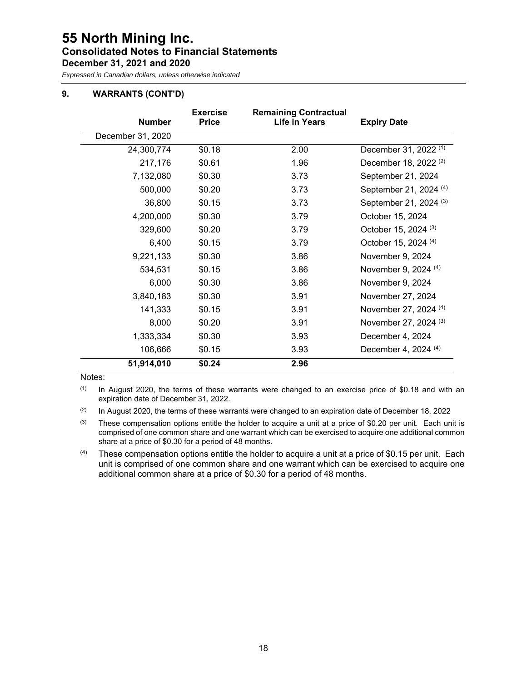## **55 North Mining Inc.**

# **Consolidated Notes to Financial Statements**

**December 31, 2021 and 2020** 

*Expressed in Canadian dollars, unless otherwise indicated*

#### **9. WARRANTS (CONT'D)**

| <b>Number</b>     | <b>Exercise</b><br><b>Price</b> | <b>Remaining Contractual</b><br><b>Life in Years</b> | <b>Expiry Date</b>                |
|-------------------|---------------------------------|------------------------------------------------------|-----------------------------------|
| December 31, 2020 |                                 |                                                      |                                   |
| 24,300,774        | \$0.18                          | 2.00                                                 | December 31, 2022 <sup>(1)</sup>  |
| 217,176           | \$0.61                          | 1.96                                                 | December 18, 2022 <sup>(2)</sup>  |
| 7,132,080         | \$0.30                          | 3.73                                                 | September 21, 2024                |
| 500,000           | \$0.20                          | 3.73                                                 | September 21, 2024 <sup>(4)</sup> |
| 36,800            | \$0.15                          | 3.73                                                 | September 21, 2024 <sup>(3)</sup> |
| 4,200,000         | \$0.30                          | 3.79                                                 | October 15, 2024                  |
| 329,600           | \$0.20                          | 3.79                                                 | October 15, 2024 <sup>(3)</sup>   |
| 6,400             | \$0.15                          | 3.79                                                 | October 15, 2024 (4)              |
| 9,221,133         | \$0.30                          | 3.86                                                 | November 9, 2024                  |
| 534,531           | \$0.15                          | 3.86                                                 | November 9, 2024 (4)              |
| 6,000             | \$0.30                          | 3.86                                                 | November 9, 2024                  |
| 3,840,183         | \$0.30                          | 3.91                                                 | November 27, 2024                 |
| 141,333           | \$0.15                          | 3.91                                                 | November 27, 2024 (4)             |
| 8,000             | \$0.20                          | 3.91                                                 | November 27, 2024 <sup>(3)</sup>  |
| 1,333,334         | \$0.30                          | 3.93                                                 | December 4, 2024                  |
| 106,666           | \$0.15                          | 3.93                                                 | December 4, 2024 (4)              |
| 51,914,010        | \$0.24                          | 2.96                                                 |                                   |

Notes:

 $(1)$  In August 2020, the terms of these warrants were changed to an exercise price of \$0.18 and with an expiration date of December 31, 2022.

 $(2)$  In August 2020, the terms of these warrants were changed to an expiration date of December 18, 2022

(3) These compensation options entitle the holder to acquire a unit at a price of \$0.20 per unit. Each unit is comprised of one common share and one warrant which can be exercised to acquire one additional common share at a price of \$0.30 for a period of 48 months.

 $(4)$  These compensation options entitle the holder to acquire a unit at a price of \$0.15 per unit. Each unit is comprised of one common share and one warrant which can be exercised to acquire one additional common share at a price of \$0.30 for a period of 48 months.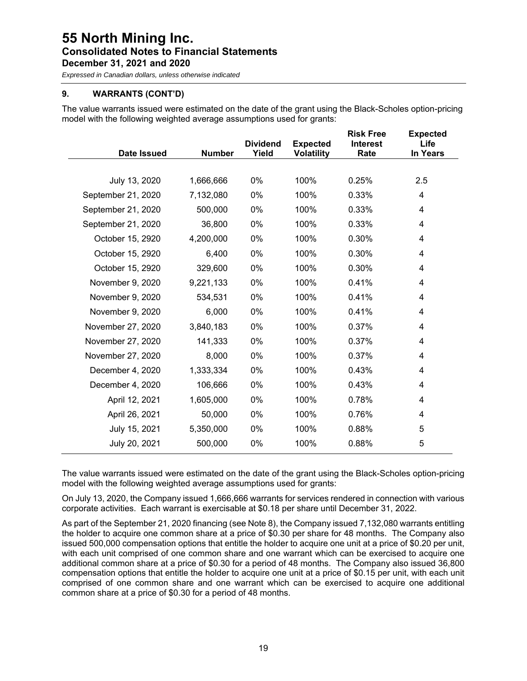*Expressed in Canadian dollars, unless otherwise indicated*

#### **9. WARRANTS (CONT'D)**

The value warrants issued were estimated on the date of the grant using the Black-Scholes option-pricing model with the following weighted average assumptions used for grants:

|                    |               | <b>Dividend</b> | <b>Expected</b>   | <b>Risk Free</b><br><b>Interest</b> | <b>Expected</b><br>Life |
|--------------------|---------------|-----------------|-------------------|-------------------------------------|-------------------------|
| Date Issued        | <b>Number</b> | Yield           | <b>Volatility</b> | Rate                                | <b>In Years</b>         |
|                    |               |                 |                   |                                     |                         |
| July 13, 2020      | 1,666,666     | 0%              | 100%              | 0.25%                               | 2.5                     |
| September 21, 2020 | 7,132,080     | 0%              | 100%              | 0.33%                               | 4                       |
| September 21, 2020 | 500,000       | 0%              | 100%              | 0.33%                               | 4                       |
| September 21, 2020 | 36,800        | 0%              | 100%              | 0.33%                               | 4                       |
| October 15, 2920   | 4,200,000     | 0%              | 100%              | 0.30%                               | 4                       |
| October 15, 2920   | 6,400         | 0%              | 100%              | 0.30%                               | 4                       |
| October 15, 2920   | 329,600       | 0%              | 100%              | 0.30%                               | 4                       |
| November 9, 2020   | 9,221,133     | 0%              | 100%              | 0.41%                               | 4                       |
| November 9, 2020   | 534,531       | 0%              | 100%              | 0.41%                               | 4                       |
| November 9, 2020   | 6,000         | 0%              | 100%              | 0.41%                               | 4                       |
| November 27, 2020  | 3,840,183     | 0%              | 100%              | 0.37%                               | 4                       |
| November 27, 2020  | 141,333       | 0%              | 100%              | 0.37%                               | 4                       |
| November 27, 2020  | 8,000         | 0%              | 100%              | 0.37%                               | 4                       |
| December 4, 2020   | 1,333,334     | 0%              | 100%              | 0.43%                               | 4                       |
| December 4, 2020   | 106,666       | 0%              | 100%              | 0.43%                               | 4                       |
| April 12, 2021     | 1,605,000     | 0%              | 100%              | 0.78%                               | 4                       |
| April 26, 2021     | 50,000        | 0%              | 100%              | 0.76%                               | 4                       |
| July 15, 2021      | 5,350,000     | 0%              | 100%              | 0.88%                               | 5                       |
| July 20, 2021      | 500,000       | 0%              | 100%              | 0.88%                               | 5                       |
|                    |               |                 |                   |                                     |                         |

The value warrants issued were estimated on the date of the grant using the Black-Scholes option-pricing model with the following weighted average assumptions used for grants:

On July 13, 2020, the Company issued 1,666,666 warrants for services rendered in connection with various corporate activities. Each warrant is exercisable at \$0.18 per share until December 31, 2022.

As part of the September 21, 2020 financing (see Note 8), the Company issued 7,132,080 warrants entitling the holder to acquire one common share at a price of \$0.30 per share for 48 months. The Company also issued 500,000 compensation options that entitle the holder to acquire one unit at a price of \$0.20 per unit, with each unit comprised of one common share and one warrant which can be exercised to acquire one additional common share at a price of \$0.30 for a period of 48 months. The Company also issued 36,800 compensation options that entitle the holder to acquire one unit at a price of \$0.15 per unit, with each unit comprised of one common share and one warrant which can be exercised to acquire one additional common share at a price of \$0.30 for a period of 48 months.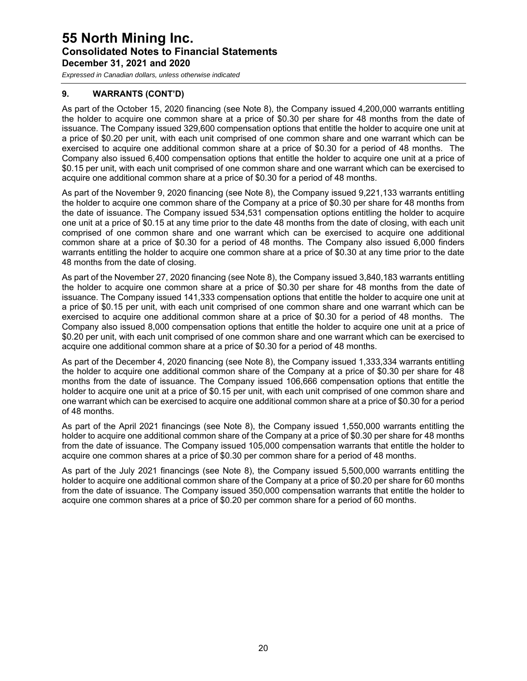*Expressed in Canadian dollars, unless otherwise indicated*

#### **9. WARRANTS (CONT'D)**

As part of the October 15, 2020 financing (see Note 8), the Company issued 4,200,000 warrants entitling the holder to acquire one common share at a price of \$0.30 per share for 48 months from the date of issuance. The Company issued 329,600 compensation options that entitle the holder to acquire one unit at a price of \$0.20 per unit, with each unit comprised of one common share and one warrant which can be exercised to acquire one additional common share at a price of \$0.30 for a period of 48 months. The Company also issued 6,400 compensation options that entitle the holder to acquire one unit at a price of \$0.15 per unit, with each unit comprised of one common share and one warrant which can be exercised to acquire one additional common share at a price of \$0.30 for a period of 48 months.

As part of the November 9, 2020 financing (see Note 8), the Company issued 9,221,133 warrants entitling the holder to acquire one common share of the Company at a price of \$0.30 per share for 48 months from the date of issuance. The Company issued 534,531 compensation options entitling the holder to acquire one unit at a price of \$0.15 at any time prior to the date 48 months from the date of closing, with each unit comprised of one common share and one warrant which can be exercised to acquire one additional common share at a price of \$0.30 for a period of 48 months. The Company also issued 6,000 finders warrants entitling the holder to acquire one common share at a price of \$0.30 at any time prior to the date 48 months from the date of closing.

As part of the November 27, 2020 financing (see Note 8), the Company issued 3,840,183 warrants entitling the holder to acquire one common share at a price of \$0.30 per share for 48 months from the date of issuance. The Company issued 141,333 compensation options that entitle the holder to acquire one unit at a price of \$0.15 per unit, with each unit comprised of one common share and one warrant which can be exercised to acquire one additional common share at a price of \$0.30 for a period of 48 months. The Company also issued 8,000 compensation options that entitle the holder to acquire one unit at a price of \$0.20 per unit, with each unit comprised of one common share and one warrant which can be exercised to acquire one additional common share at a price of \$0.30 for a period of 48 months.

As part of the December 4, 2020 financing (see Note 8), the Company issued 1,333,334 warrants entitling the holder to acquire one additional common share of the Company at a price of \$0.30 per share for 48 months from the date of issuance. The Company issued 106,666 compensation options that entitle the holder to acquire one unit at a price of \$0.15 per unit, with each unit comprised of one common share and one warrant which can be exercised to acquire one additional common share at a price of \$0.30 for a period of 48 months.

As part of the April 2021 financings (see Note 8), the Company issued 1,550,000 warrants entitling the holder to acquire one additional common share of the Company at a price of \$0.30 per share for 48 months from the date of issuance. The Company issued 105,000 compensation warrants that entitle the holder to acquire one common shares at a price of \$0.30 per common share for a period of 48 months.

As part of the July 2021 financings (see Note 8), the Company issued 5,500,000 warrants entitling the holder to acquire one additional common share of the Company at a price of \$0.20 per share for 60 months from the date of issuance. The Company issued 350,000 compensation warrants that entitle the holder to acquire one common shares at a price of \$0.20 per common share for a period of 60 months.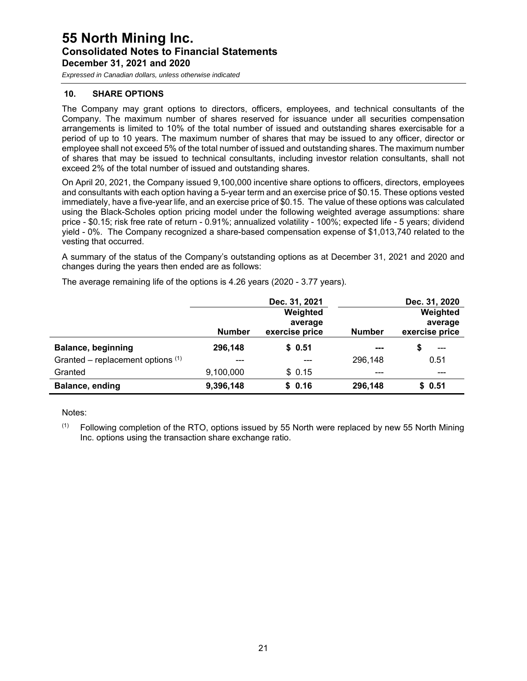*Expressed in Canadian dollars, unless otherwise indicated*

#### **10. SHARE OPTIONS**

The Company may grant options to directors, officers, employees, and technical consultants of the Company. The maximum number of shares reserved for issuance under all securities compensation arrangements is limited to 10% of the total number of issued and outstanding shares exercisable for a period of up to 10 years. The maximum number of shares that may be issued to any officer, director or employee shall not exceed 5% of the total number of issued and outstanding shares. The maximum number of shares that may be issued to technical consultants, including investor relation consultants, shall not exceed 2% of the total number of issued and outstanding shares.

On April 20, 2021, the Company issued 9,100,000 incentive share options to officers, directors, employees and consultants with each option having a 5-year term and an exercise price of \$0.15. These options vested immediately, have a five-year life, and an exercise price of \$0.15. The value of these options was calculated using the Black-Scholes option pricing model under the following weighted average assumptions: share price - \$0.15; risk free rate of return - 0.91%; annualized volatility - 100%; expected life - 5 years; dividend yield - 0%. The Company recognized a share-based compensation expense of \$1,013,740 related to the vesting that occurred.

A summary of the status of the Company's outstanding options as at December 31, 2021 and 2020 and changes during the years then ended are as follows:

The average remaining life of the options is 4.26 years (2020 - 3.77 years).

|                                     |               | Dec. 31, 2021  |               | Dec. 31, 2020  |
|-------------------------------------|---------------|----------------|---------------|----------------|
|                                     |               | Weighted       |               | Weighted       |
|                                     |               | average        |               | average        |
|                                     | <b>Number</b> | exercise price | <b>Number</b> | exercise price |
| <b>Balance, beginning</b>           | 296,148       | \$0.51         | ---           | \$<br>$---$    |
| Granted – replacement options $(1)$ |               |                | 296,148       | 0.51           |
| Granted                             | 9,100,000     | \$0.15         |               | ---            |
| Balance, ending                     | 9,396,148     | \$0.16         | 296,148       | \$0.51         |

Notes:

 $(1)$  Following completion of the RTO, options issued by 55 North were replaced by new 55 North Mining Inc. options using the transaction share exchange ratio.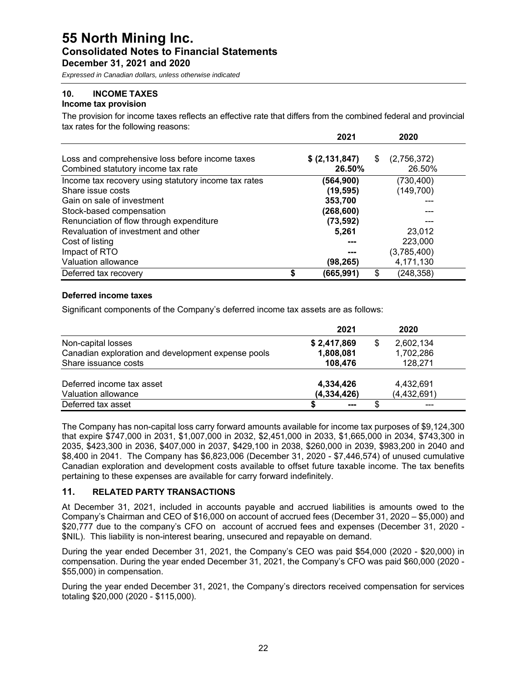### **55 North Mining Inc. Consolidated Notes to Financial Statements**

**December 31, 2021 and 2020** 

*Expressed in Canadian dollars, unless otherwise indicated*

### **10. INCOME TAXES**

### **Income tax provision**

The provision for income taxes reflects an effective rate that differs from the combined federal and provincial tax rates for the following reasons:

|                                                                                       | 2021                       |    | 2020                  |  |
|---------------------------------------------------------------------------------------|----------------------------|----|-----------------------|--|
| Loss and comprehensive loss before income taxes<br>Combined statutory income tax rate | \$ (2, 131, 847)<br>26.50% | S  | (2,756,372)<br>26.50% |  |
| Income tax recovery using statutory income tax rates                                  | (564,900)                  |    | (730, 400)            |  |
| Share issue costs                                                                     | (19, 595)                  |    | (149, 700)            |  |
| Gain on sale of investment                                                            | 353,700                    |    |                       |  |
| Stock-based compensation                                                              | (268, 600)                 |    |                       |  |
| Renunciation of flow through expenditure                                              | (73, 592)                  |    |                       |  |
| Revaluation of investment and other                                                   | 5.261                      |    | 23.012                |  |
| Cost of listing                                                                       |                            |    | 223,000               |  |
| Impact of RTO                                                                         |                            |    | (3,785,400)           |  |
| Valuation allowance                                                                   | (98, 265)                  |    | 4,171,130             |  |
| Deferred tax recovery                                                                 | \$<br>(665,991)            | \$ | (248, 358)            |  |

#### **Deferred income taxes**

Significant components of the Company's deferred income tax assets are as follows:

|                                                                                                  | 2021                                |    | 2020                              |  |
|--------------------------------------------------------------------------------------------------|-------------------------------------|----|-----------------------------------|--|
| Non-capital losses<br>Canadian exploration and development expense pools<br>Share issuance costs | \$2,417,869<br>1,808,081<br>108,476 | \$ | 2,602,134<br>1,702,286<br>128,271 |  |
| Deferred income tax asset<br>Valuation allowance                                                 | 4,334,426<br>(4,334,426)            |    | 4,432,691<br>(4,432,691)          |  |
| Deferred tax asset                                                                               | ---                                 | S  |                                   |  |

The Company has non-capital loss carry forward amounts available for income tax purposes of \$9,124,300 that expire \$747,000 in 2031, \$1,007,000 in 2032, \$2,451,000 in 2033, \$1,665,000 in 2034, \$743,300 in 2035, \$423,300 in 2036, \$407,000 in 2037, \$429,100 in 2038, \$260,000 in 2039, \$983,200 in 2040 and \$8,400 in 2041. The Company has \$6,823,006 (December 31, 2020 - \$7,446,574) of unused cumulative Canadian exploration and development costs available to offset future taxable income. The tax benefits pertaining to these expenses are available for carry forward indefinitely.

#### **11. RELATED PARTY TRANSACTIONS**

At December 31, 2021, included in accounts payable and accrued liabilities is amounts owed to the Company's Chairman and CEO of \$16,000 on account of accrued fees (December 31, 2020 – \$5,000) and \$20,777 due to the company's CFO on account of accrued fees and expenses (December 31, 2020 -\$NIL). This liability is non-interest bearing, unsecured and repayable on demand.

During the year ended December 31, 2021, the Company's CEO was paid \$54,000 (2020 - \$20,000) in compensation. During the year ended December 31, 2021, the Company's CFO was paid \$60,000 (2020 - \$55,000) in compensation.

During the year ended December 31, 2021, the Company's directors received compensation for services totaling \$20,000 (2020 - \$115,000).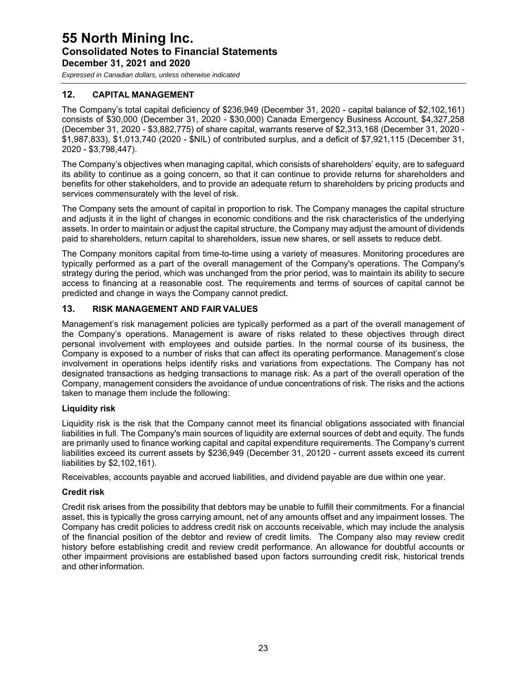*Expressed in Canadian dollars, unless otherwise indicated*

#### **12. CAPITAL MANAGEMENT**

The Company's total capital deficiency of \$236,949 (December 31, 2020 - capital balance of \$2,102,161) consists of \$30,000 (December 31, 2020 - \$30,000) Canada Emergency Business Account, \$4,327,258 (December 31, 2020 - \$3,882,775) of share capital, warrants reserve of \$2,313,168 (December 31, 2020 - \$1,987,833), \$1,013,740 (2020 - \$NIL) of contributed surplus, and a deficit of \$7,921,115 (December 31, 2020 - \$3,798,447).

The Company's objectives when managing capital, which consists of shareholders' equity, are to safeguard its ability to continue as a going concern, so that it can continue to provide returns for shareholders and benefits for other stakeholders, and to provide an adequate return to shareholders by pricing products and services commensurately with the level of risk.

The Company sets the amount of capital in proportion to risk. The Company manages the capital structure and adjusts it in the light of changes in economic conditions and the risk characteristics of the underlying assets. In order to maintain or adjust the capital structure, the Company may adjust the amount of dividends paid to shareholders, return capital to shareholders, issue new shares, or sell assets to reduce debt.

The Company monitors capital from time-to-time using a variety of measures. Monitoring procedures are typically performed as a part of the overall management of the Company's operations. The Company's strategy during the period, which was unchanged from the prior period, was to maintain its ability to secure access to financing at a reasonable cost. The requirements and terms of sources of capital cannot be predicted and change in ways the Company cannot predict.

#### **13. RISK MANAGEMENT AND FAIR VALUES**

Management's risk management policies are typically performed as a part of the overall management of the Company's operations. Management is aware of risks related to these objectives through direct personal involvement with employees and outside parties. In the normal course of its business, the Company is exposed to a number of risks that can affect its operating performance. Management's close involvement in operations helps identify risks and variations from expectations. The Company has not designated transactions as hedging transactions to manage risk. As a part of the overall operation of the Company, management considers the avoidance of undue concentrations of risk. The risks and the actions taken to manage them include the following:

#### **Liquidity risk**

Liquidity risk is the risk that the Company cannot meet its financial obligations associated with financial liabilities in full. The Company's main sources of liquidity are external sources of debt and equity. The funds are primarily used to finance working capital and capital expenditure requirements. The Company's current liabilities exceed its current assets by \$236,949 (December 31, 20120 - current assets exceed its current liabilities by \$2,102,161).

Receivables, accounts payable and accrued liabilities, and dividend payable are due within one year.

#### **Credit risk**

Credit risk arises from the possibility that debtors may be unable to fulfill their commitments. For a financial asset, this is typically the gross carrying amount, net of any amounts offset and any impairment losses. The Company has credit policies to address credit risk on accounts receivable, which may include the analysis of the financial position of the debtor and review of credit limits. The Company also may review credit history before establishing credit and review credit performance. An allowance for doubtful accounts or other impairment provisions are established based upon factors surrounding credit risk, historical trends and other information.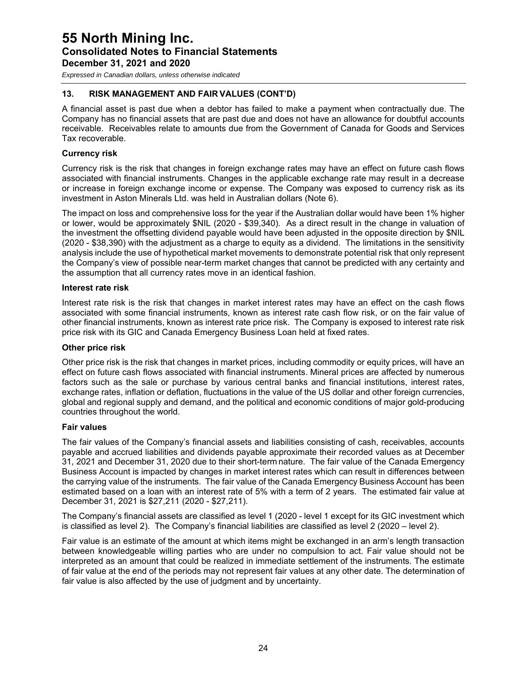*Expressed in Canadian dollars, unless otherwise indicated*

#### **13. RISK MANAGEMENT AND FAIR VALUES (CONT'D)**

A financial asset is past due when a debtor has failed to make a payment when contractually due. The Company has no financial assets that are past due and does not have an allowance for doubtful accounts receivable. Receivables relate to amounts due from the Government of Canada for Goods and Services Tax recoverable.

#### **Currency risk**

Currency risk is the risk that changes in foreign exchange rates may have an effect on future cash flows associated with financial instruments. Changes in the applicable exchange rate may result in a decrease or increase in foreign exchange income or expense. The Company was exposed to currency risk as its investment in Aston Minerals Ltd. was held in Australian dollars (Note 6).

The impact on loss and comprehensive loss for the year if the Australian dollar would have been 1% higher or lower, would be approximately \$NIL (2020 - \$39,340). As a direct result in the change in valuation of the investment the offsetting dividend payable would have been adjusted in the opposite direction by \$NIL (2020 - \$38,390) with the adjustment as a charge to equity as a dividend. The limitations in the sensitivity analysis include the use of hypothetical market movements to demonstrate potential risk that only represent the Company's view of possible near-term market changes that cannot be predicted with any certainty and the assumption that all currency rates move in an identical fashion.

#### **Interest rate risk**

Interest rate risk is the risk that changes in market interest rates may have an effect on the cash flows associated with some financial instruments, known as interest rate cash flow risk, or on the fair value of other financial instruments, known as interest rate price risk. The Company is exposed to interest rate risk price risk with its GIC and Canada Emergency Business Loan held at fixed rates.

#### **Other price risk**

Other price risk is the risk that changes in market prices, including commodity or equity prices, will have an effect on future cash flows associated with financial instruments. Mineral prices are affected by numerous factors such as the sale or purchase by various central banks and financial institutions, interest rates, exchange rates, inflation or deflation, fluctuations in the value of the US dollar and other foreign currencies, global and regional supply and demand, and the political and economic conditions of major gold-producing countries throughout the world.

#### **Fair values**

The fair values of the Company's financial assets and liabilities consisting of cash, receivables, accounts payable and accrued liabilities and dividends payable approximate their recorded values as at December 31, 2021 and December 31, 2020 due to their short-term nature. The fair value of the Canada Emergency Business Account is impacted by changes in market interest rates which can result in differences between the carrying value of the instruments. The fair value of the Canada Emergency Business Account has been estimated based on a loan with an interest rate of 5% with a term of 2 years. The estimated fair value at December 31, 2021 is \$27,211 (2020 - \$27,211).

The Company's financial assets are classified as level 1 (2020 - level 1 except for its GIC investment which is classified as level 2). The Company's financial liabilities are classified as level 2 (2020 – level 2).

Fair value is an estimate of the amount at which items might be exchanged in an arm's length transaction between knowledgeable willing parties who are under no compulsion to act. Fair value should not be interpreted as an amount that could be realized in immediate settlement of the instruments. The estimate of fair value at the end of the periods may not represent fair values at any other date. The determination of fair value is also affected by the use of judgment and by uncertainty.